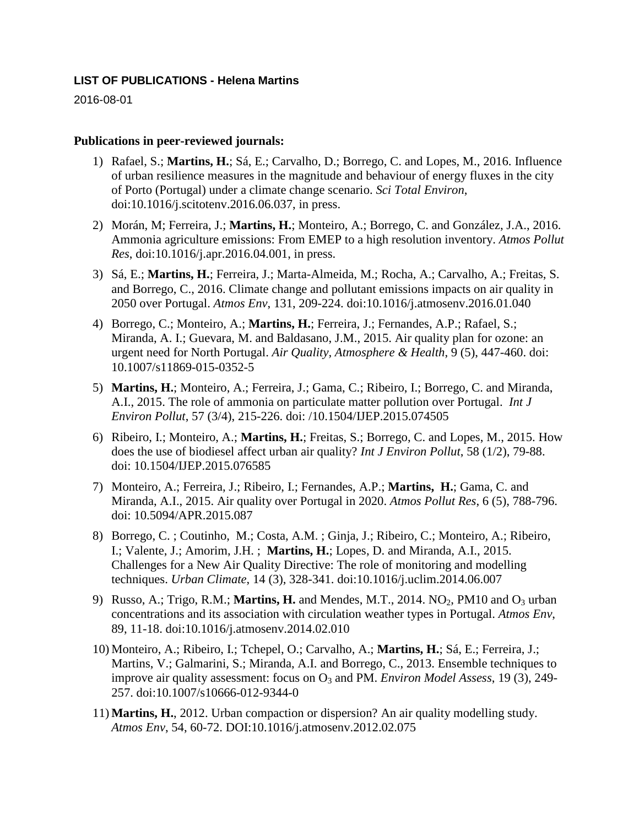## **LIST OF PUBLICATIONS - Helena Martins**

2016-08-01

## **Publications in peer-reviewed journals:**

- 1) Rafael, S.; **Martins, H.**; Sá, E.; Carvalho, D.; Borrego, C. and Lopes, M., 2016. Influence of urban resilience measures in the magnitude and behaviour of energy fluxes in the city of Porto (Portugal) under a climate change scenario. *Sci Total Environ*, doi:10.1016/j.scitotenv.2016.06.037, in press.
- 2) Morán, M; Ferreira, J.; **Martins, H.**; Monteiro, A.; Borrego, C. and González, J.A., 2016. Ammonia agriculture emissions: From EMEP to a high resolution inventory. *Atmos Pollut Res*, doi:10.1016/j.apr.2016.04.001, in press.
- 3) Sá, E.; **Martins, H.**; Ferreira, J.; Marta-Almeida, M.; Rocha, A.; Carvalho, A.; Freitas, S. and Borrego, C., 2016. Climate change and pollutant emissions impacts on air quality in 2050 over Portugal. *Atmos Env*, 131, 209-224. doi:10.1016/j.atmosenv.2016.01.040
- 4) Borrego, C.; Monteiro, A.; **Martins, H.**; Ferreira, J.; Fernandes, A.P.; Rafael, S.; Miranda, A. I.; Guevara, M. and Baldasano, J.M., 2015. Air quality plan for ozone: an urgent need for North Portugal. *Air Quality, Atmosphere & Health*, 9 (5), 447-460. doi: 10.1007/s11869-015-0352-5
- 5) **Martins, H.**; Monteiro, A.; Ferreira, J.; Gama, C.; Ribeiro, I.; Borrego, C. and Miranda, A.I., 2015. The role of ammonia on particulate matter pollution over Portugal. *Int J Environ Pollut*, 57 (3/4), 215-226. doi: /10.1504/IJEP.2015.074505
- 6) Ribeiro, I.; Monteiro, A.; **Martins, H.**; Freitas, S.; Borrego, C. and Lopes, M., 2015. How does the use of biodiesel affect urban air quality? *Int J Environ Pollut*, 58 (1/2), 79-88. doi: 10.1504/IJEP.2015.076585
- 7) Monteiro, A.; Ferreira, J.; Ribeiro, I.; Fernandes, A.P.; **Martins, H.**; Gama, C. and Miranda, A.I., 2015. Air quality over Portugal in 2020. *Atmos Pollut Res*, 6 (5), 788-796. doi: 10.5094/APR.2015.087
- 8) Borrego, C. ; Coutinho, M.; Costa, A.M. ; Ginja, J.; Ribeiro, C.; Monteiro, A.; Ribeiro, I.; Valente, J.; Amorim, J.H. ; **Martins, H.**; Lopes, D. and Miranda, A.I., 2015. Challenges for a New Air Quality Directive: The role of monitoring and modelling techniques. *Urban Climate*, 14 (3), 328-341. doi:10.1016/j.uclim.2014.06.007
- 9) Russo, A.; Trigo, R.M.; **Martins, H.** and Mendes, M.T., 2014. NO<sub>2</sub>, PM10 and O<sub>3</sub> urban concentrations and its association with circulation weather types in Portugal. *Atmos Env*, 89, 11-18. doi:10.1016/j.atmosenv.2014.02.010
- 10) Monteiro, A.; Ribeiro, I.; Tchepel, O.; Carvalho, A.; **Martins, H.**; Sá, E.; Ferreira, J.; Martins, V.; Galmarini, S.; Miranda, A.I. and Borrego, C., 2013. Ensemble techniques to improve air quality assessment: focus on O<sub>3</sub> and PM. *Environ Model Assess*, 19 (3), 249-257. doi:10.1007/s10666-012-9344-0
- 11) **Martins, H.**, 2012. Urban compaction or dispersion? An air quality modelling study. *Atmos Env*, 54, 60-72. DOI:10.1016/j.atmosenv.2012.02.075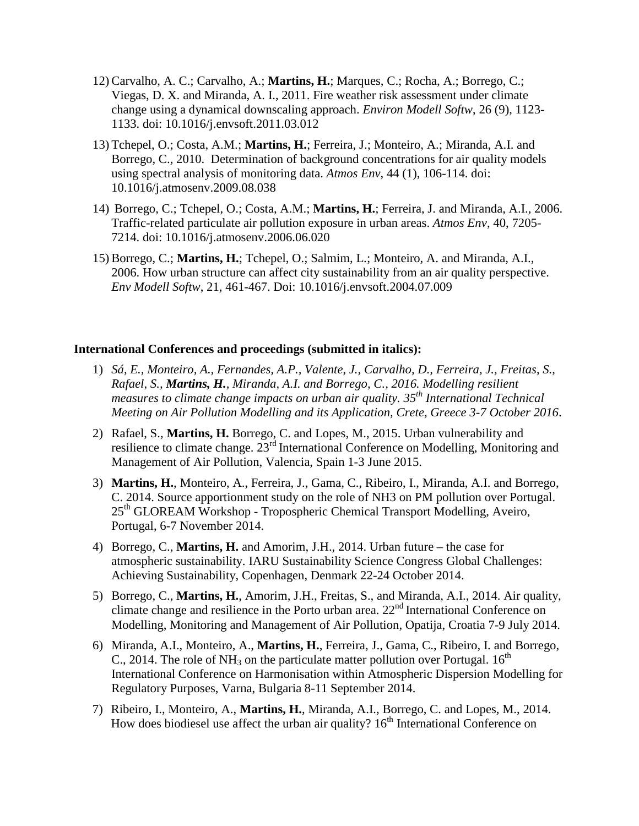- 12) Carvalho, A. C.; Carvalho, A.; **Martins, H.**; Marques, C.; Rocha, A.; Borrego, C.; Viegas, D. X. and Miranda, A. I., 2011. Fire weather risk assessment under climate change using a dynamical downscaling approach. *Environ Modell Softw*, 26 (9), 1123- 1133. doi: 10.1016/j.envsoft.2011.03.012
- 13) Tchepel, O.; Costa, A.M.; **Martins, H.**; Ferreira, J.; Monteiro, A.; Miranda, A.I. and Borrego, C., 2010. Determination of background concentrations for air quality models using spectral analysis of monitoring data. *Atmos Env*, 44 (1), 106-114. doi: 10.1016/j.atmosenv.2009.08.038
- 14) Borrego, C.; Tchepel, O.; Costa, A.M.; **Martins, H.**; Ferreira, J. and Miranda, A.I., 2006. Traffic-related particulate air pollution exposure in urban areas. *Atmos Env*, 40, 7205- 7214. doi: 10.1016/j.atmosenv.2006.06.020
- 15) Borrego, C.; **Martins, H.**; Tchepel, O.; Salmim, L.; Monteiro, A. and Miranda, A.I., 2006. How urban structure can affect city sustainability from an air quality perspective. *Env Modell Softw*, 21, 461-467. Doi: 10.1016/j.envsoft.2004.07.009

## **International Conferences and proceedings (submitted in italics):**

- 1) *Sá, E., Monteiro, A., Fernandes, A.P., Valente, J., Carvalho, D., Ferreira, J., Freitas, S., Rafael, S., Martins, H., Miranda, A.I. and Borrego, C., 2016. Modelling resilient measures to climate change impacts on urban air quality. 35th International Technical Meeting on Air Pollution Modelling and its Application, Crete, Greece 3-7 October 2016*.
- 2) Rafael, S., **Martins, H.** Borrego, C. and Lopes, M., 2015. Urban vulnerability and resilience to climate change.  $23<sup>rd</sup>$  International Conference on Modelling, Monitoring and Management of Air Pollution, Valencia, Spain 1-3 June 2015.
- 3) **Martins, H.**, Monteiro, A., Ferreira, J., Gama, C., Ribeiro, I., Miranda, A.I. and Borrego, C. 2014. Source apportionment study on the role of NH3 on PM pollution over Portugal. 25<sup>th</sup> GLOREAM Workshop - Tropospheric Chemical Transport Modelling, Aveiro, Portugal, 6-7 November 2014.
- 4) Borrego, C., **Martins, H.** and Amorim, J.H., 2014. Urban future the case for atmospheric sustainability. IARU Sustainability Science Congress Global Challenges: Achieving Sustainability, Copenhagen, Denmark 22-24 October 2014.
- 5) Borrego, C., **Martins, H.**, Amorim, J.H., Freitas, S., and Miranda, A.I., 2014. Air quality, climate change and resilience in the Porto urban area.  $22<sup>nd</sup>$  International Conference on Modelling, Monitoring and Management of Air Pollution, Opatija, Croatia 7-9 July 2014.
- 6) Miranda, A.I., Monteiro, A., **Martins, H.**, Ferreira, J., Gama, C., Ribeiro, I. and Borrego, C., 2014. The role of NH<sub>3</sub> on the particulate matter pollution over Portugal.  $16^{th}$ International Conference on Harmonisation within Atmospheric Dispersion Modelling for Regulatory Purposes, Varna, Bulgaria 8-11 September 2014.
- 7) Ribeiro, I., Monteiro, A., **Martins, H.**, Miranda, A.I., Borrego, C. and Lopes, M., 2014. How does biodiesel use affect the urban air quality?  $16<sup>th</sup>$  International Conference on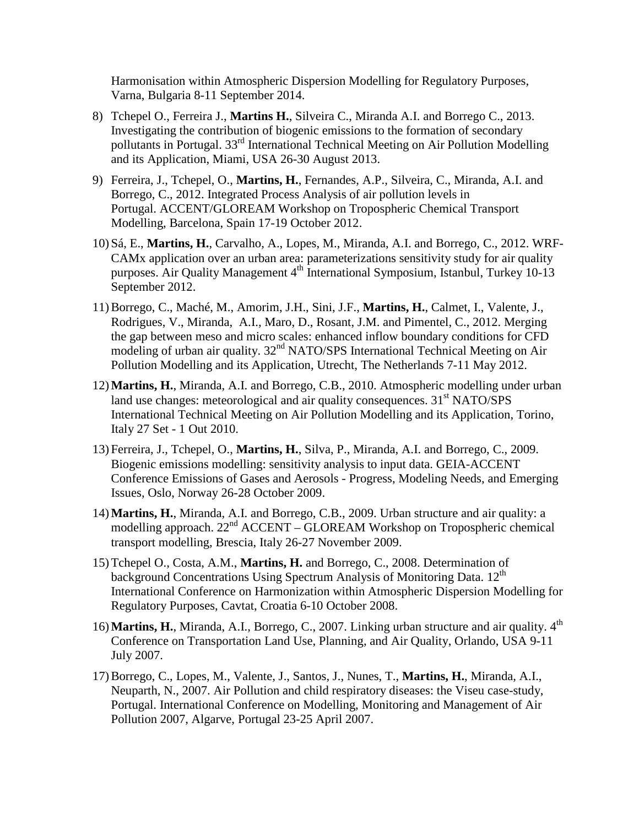Harmonisation within Atmospheric Dispersion Modelling for Regulatory Purposes, Varna, Bulgaria 8-11 September 2014.

- 8) Tchepel O., Ferreira J., **Martins H.**, Silveira C., Miranda A.I. and Borrego C., 2013. Investigating the contribution of biogenic emissions to the formation of secondary pollutants in Portugal. 33<sup>rd</sup> International Technical Meeting on Air Pollution Modelling and its Application, Miami, USA 26-30 August 2013.
- 9) Ferreira, J., Tchepel, O., **Martins, H.**, Fernandes, A.P., Silveira, C., Miranda, A.I. and Borrego, C., 2012. Integrated Process Analysis of air pollution levels in Portugal. ACCENT/GLOREAM Workshop on Tropospheric Chemical Transport Modelling, Barcelona, Spain 17-19 October 2012.
- 10) Sá, E., **Martins, H.**, Carvalho, A., Lopes, M., Miranda, A.I. and Borrego, C., 2012. WRF-CAMx application over an urban area: parameterizations sensitivity study for air quality purposes. Air Quality Management 4<sup>th</sup> International Symposium, Istanbul, Turkey 10-13 September 2012.
- 11)Borrego, C., Maché, M., Amorim, J.H., Sini, J.F., **Martins, H.**, Calmet, I., Valente, J., Rodrigues, V., Miranda, A.I., Maro, D., Rosant, J.M. and Pimentel, C., 2012. Merging the gap between meso and micro scales: enhanced inflow boundary conditions for CFD modeling of urban air quality.  $32<sup>nd</sup>$  NATO/SPS International Technical Meeting on Air Pollution Modelling and its Application, Utrecht, The Netherlands 7-11 May 2012.
- 12)**Martins, H.**, Miranda, A.I. and Borrego, C.B., 2010. Atmospheric modelling under urban land use changes: meteorological and air quality consequences.  $31<sup>st</sup> NATO/SPS$ International Technical Meeting on Air Pollution Modelling and its Application, Torino, Italy 27 Set - 1 Out 2010.
- 13) Ferreira, J., Tchepel, O., **Martins, H.**, Silva, P., Miranda, A.I. and Borrego, C., 2009. Biogenic emissions modelling: sensitivity analysis to input data. GEIA-ACCENT Conference Emissions of Gases and Aerosols - Progress, Modeling Needs, and Emerging Issues, Oslo, Norway 26-28 October 2009.
- 14)**Martins, H.**, Miranda, A.I. and Borrego, C.B., 2009. Urban structure and air quality: a modelling approach.  $22<sup>nd</sup>$  ACCENT – GLOREAM Workshop on Tropospheric chemical transport modelling, Brescia, Italy 26-27 November 2009.
- 15)Tchepel O., Costa, A.M., **Martins, H.** and Borrego, C., 2008. Determination of background Concentrations Using Spectrum Analysis of Monitoring Data. 12<sup>th</sup> International Conference on Harmonization within Atmospheric Dispersion Modelling for Regulatory Purposes, Cavtat, Croatia 6-10 October 2008.
- 16) **Martins, H.**, Miranda, A.I., Borrego, C., 2007. Linking urban structure and air quality. 4<sup>th</sup> Conference on Transportation Land Use, Planning, and Air Quality, Orlando, USA 9-11 July 2007.
- 17)Borrego, C., Lopes, M., Valente, J., Santos, J., Nunes, T., **Martins, H.**, Miranda, A.I., Neuparth, N., 2007. Air Pollution and child respiratory diseases: the Viseu case-study, Portugal. International Conference on Modelling, Monitoring and Management of Air Pollution 2007, Algarve, Portugal 23-25 April 2007.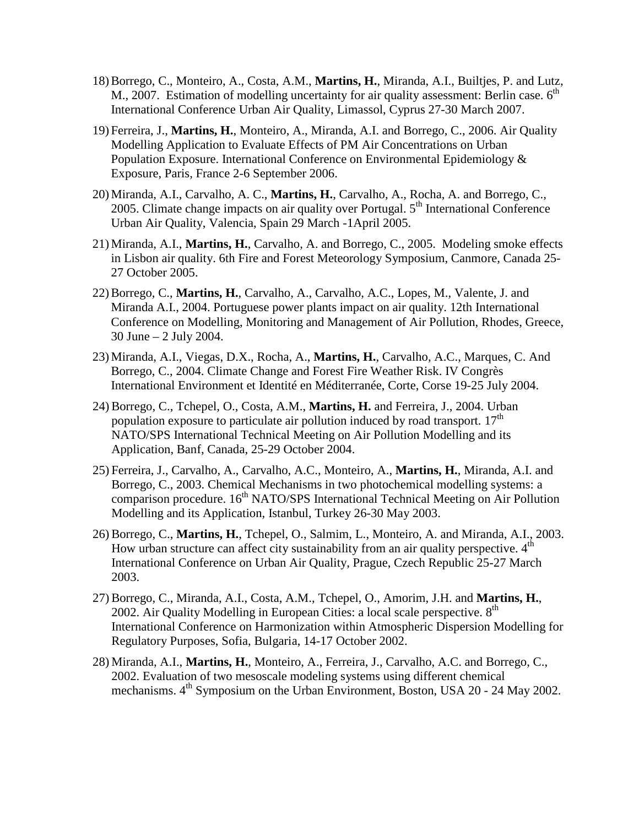- 18)Borrego, C., Monteiro, A., Costa, A.M., **Martins, H.**, Miranda, A.I., Builtjes, P. and Lutz, M., 2007. Estimation of modelling uncertainty for air quality assessment: Berlin case.  $6<sup>th</sup>$ International Conference Urban Air Quality, Limassol, Cyprus 27-30 March 2007.
- 19) Ferreira, J., **Martins, H.**, Monteiro, A., Miranda, A.I. and Borrego, C., 2006. Air Quality Modelling Application to Evaluate Effects of PM Air Concentrations on Urban Population Exposure. International Conference on Environmental Epidemiology & Exposure, Paris, France 2-6 September 2006.
- 20)Miranda, A.I., Carvalho, A. C., **Martins, H.**, Carvalho, A., Rocha, A. and Borrego, C., 2005. Climate change impacts on air quality over Portugal. 5<sup>th</sup> International Conference Urban Air Quality, Valencia, Spain 29 March -1April 2005.
- 21)Miranda, A.I., **Martins, H.**, Carvalho, A. and Borrego, C., 2005. Modeling smoke effects in Lisbon air quality. 6th Fire and Forest Meteorology Symposium, Canmore, Canada 25- 27 October 2005.
- 22)Borrego, C., **Martins, H.**, Carvalho, A., Carvalho, A.C., Lopes, M., Valente, J. and Miranda A.I., 2004. Portuguese power plants impact on air quality. 12th International Conference on Modelling, Monitoring and Management of Air Pollution, Rhodes, Greece, 30 June – 2 July 2004.
- 23)Miranda, A.I., Viegas, D.X., Rocha, A., **Martins, H.**, Carvalho, A.C., Marques, C. And Borrego, C., 2004. Climate Change and Forest Fire Weather Risk. IV Congrès International Environment et Identité en Méditerranée, Corte, Corse 19-25 July 2004.
- 24) Borrego, C., Tchepel, O., Costa, A.M., **Martins, H.** and Ferreira, J., 2004. Urban population exposure to particulate air pollution induced by road transport.  $17<sup>th</sup>$ NATO/SPS International Technical Meeting on Air Pollution Modelling and its Application, Banf, Canada, 25-29 October 2004.
- 25) Ferreira, J., Carvalho, A., Carvalho, A.C., Monteiro, A., **Martins, H.**, Miranda, A.I. and Borrego, C., 2003. Chemical Mechanisms in two photochemical modelling systems: a comparison procedure. 16<sup>th</sup> NATO/SPS International Technical Meeting on Air Pollution Modelling and its Application, Istanbul, Turkey 26-30 May 2003.
- 26) Borrego, C., **Martins, H.**, Tchepel, O., Salmim, L., Monteiro, A. and Miranda, A.I., 2003. How urban structure can affect city sustainability from an air quality perspective.  $4<sup>th</sup>$ International Conference on Urban Air Quality, Prague, Czech Republic 25-27 March 2003.
- 27) Borrego, C., Miranda, A.I., Costa, A.M., Tchepel, O., Amorim, J.H. and **Martins, H.**, 2002. Air Quality Modelling in European Cities: a local scale perspective.  $8<sup>th</sup>$ International Conference on Harmonization within Atmospheric Dispersion Modelling for Regulatory Purposes, Sofia, Bulgaria, 14-17 October 2002.
- 28) Miranda, A.I., **Martins, H.**, Monteiro, A., Ferreira, J., Carvalho, A.C. and Borrego, C., 2002. Evaluation of two mesoscale modeling systems using different chemical mechanisms. 4<sup>th</sup> Symposium on the Urban Environment, Boston, USA 20 - 24 May 2002.